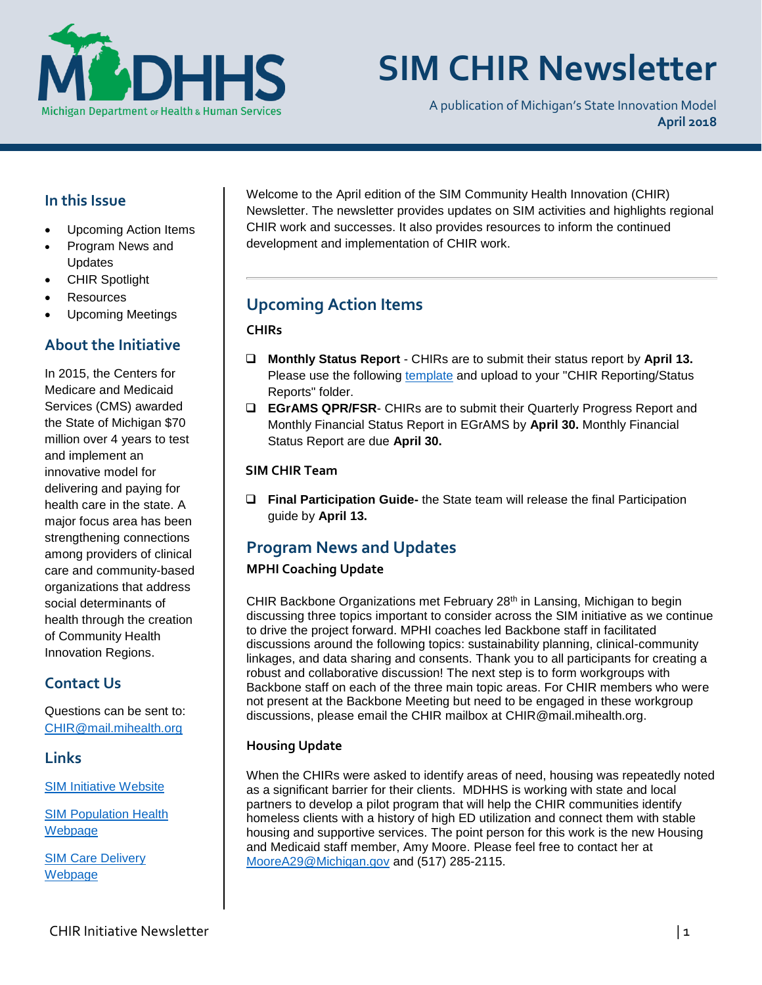

# **SIM CHIR Newsletter**

A publication of Michigan's State Innovation Model **April 2018**

## **In this Issue**

- Upcoming Action Items
- Program News and Updates
- CHIR Spotlight
- Resources
- Upcoming Meetings

## **About the Initiative**

In 2015, the Centers for Medicare and Medicaid Services (CMS) awarded the State of Michigan \$70 million over 4 years to test and implement an innovative model for delivering and paying for health care in the state. A major focus area has been strengthening connections among providers of clinical care and community-based organizations that address social determinants of health through the creation of Community Health Innovation Regions.

# **Contact Us**

Questions can be sent to: [CHIR@mail.mihealth.org](mailto:CHIR@mail.mihealth.org)

## **Links**

[SIM Initiative Website](http://www.michigan.gov/mdhhs/0,5885,7-339-71551_2945_64491---,00.html)

[SIM Population Health](http://www.michigan.gov/mdhhs/0,5885,7-339-71551_2945_64491_76092_77453---,00.html)  [Webp](http://www.michigan.gov/mdhhs/0,5885,7-339-71551_2945_64491_76092_77453---,00.html)age

SIM [Care Delivery](http://www.michigan.gov/mdhhs/0,5885,7-339-71551_2945_64491_76092_77452---,00.html)  **[Webpage](http://www.michigan.gov/mdhhs/0,5885,7-339-71551_2945_64491_76092_77452---,00.html)** 

Welcome to the April edition of the SIM Community Health Innovation (CHIR) Newsletter. The newsletter provides updates on SIM activities and highlights regional CHIR work and successes. It also provides resources to inform the continued development and implementation of CHIR work.

# **Upcoming Action Items**

## **CHIRs**

- **Monthly Status Report** CHIRs are to submit their status report by **April 13.** Please use the following [template](https://stateofmichigan.sharepoint.com/teams/dhhs/bic/msacss/SIM/_layouts/15/WopiFrame.aspx?sourcedoc=%7b8960e28a-266a-4cfa-9648-81dfc7d62ba3%7d&action=edit&wdPid=1188cae2) and upload to your "CHIR Reporting/Status Reports" folder.
- **EGrAMS QPR/FSR** CHIRs are to submit their Quarterly Progress Report and Monthly Financial Status Report in EGrAMS by **April 30.** Monthly Financial Status Report are due **April 30.**

## **SIM CHIR Team**

 **Final Participation Guide-** the State team will release the final Participation guide by **April 13.**

# **Program News and Updates**

## **MPHI Coaching Update**

CHIR Backbone Organizations met February 28<sup>th</sup> in Lansing, Michigan to begin discussing three topics important to consider across the SIM initiative as we continue to drive the project forward. MPHI coaches led Backbone staff in facilitated discussions around the following topics: sustainability planning, clinical-community linkages, and data sharing and consents. Thank you to all participants for creating a robust and collaborative discussion! The next step is to form workgroups with Backbone staff on each of the three main topic areas. For CHIR members who were not present at the Backbone Meeting but need to be engaged in these workgroup discussions, please email the CHIR mailbox at CHIR@mail.mihealth.org.

## **Housing Update**

When the CHIRs were asked to identify areas of need, housing was repeatedly noted as a significant barrier for their clients. MDHHS is working with state and local partners to develop a pilot program that will help the CHIR communities identify homeless clients with a history of high ED utilization and connect them with stable housing and supportive services. The point person for this work is the new Housing and Medicaid staff member, Amy Moore. Please feel free to contact her at [MooreA29@Michigan.gov](mailto:MooreA29@Michigan.gov) and (517) 285-2115.